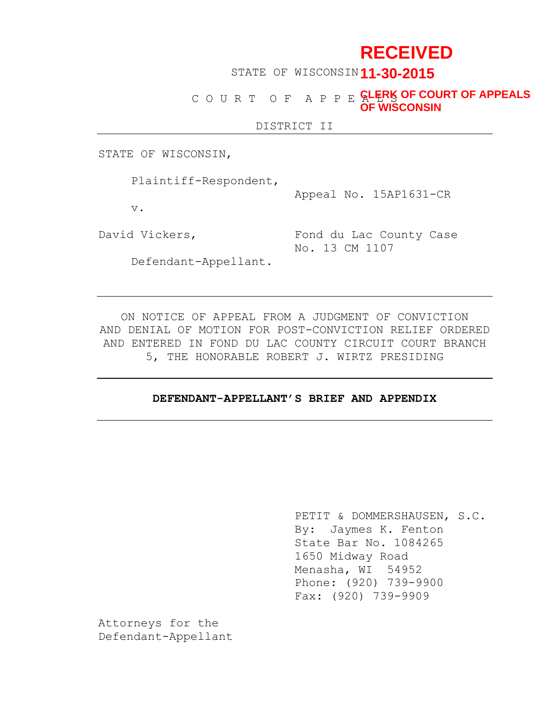# **RECEIVED**

# STATE OF WISCONSIN **11-30-2015**

C O U R T O F A P P E **GLERK OF COURT OF APPEALS OF WISCONSIN**

DISTRICT II

STATE OF WISCONSIN,

Plaintiff-Respondent,

Appeal No. 15AP1631-CR

v.

David Vickers, Fond du Lac County Case No. 13 CM 1107

Defendant-Appellant.

ON NOTICE OF APPEAL FROM A JUDGMENT OF CONVICTION AND DENIAL OF MOTION FOR POST-CONVICTION RELIEF ORDERED AND ENTERED IN FOND DU LAC COUNTY CIRCUIT COURT BRANCH 5, THE HONORABLE ROBERT J. WIRTZ PRESIDING

# **DEFENDANT-APPELLANT'S BRIEF AND APPENDIX**

PETIT & DOMMERSHAUSEN, S.C. By: Jaymes K. Fenton State Bar No. 1084265 1650 Midway Road Menasha, WI 54952 Phone: (920) 739-9900 Fax: (920) 739-9909

Attorneys for the Defendant-Appellant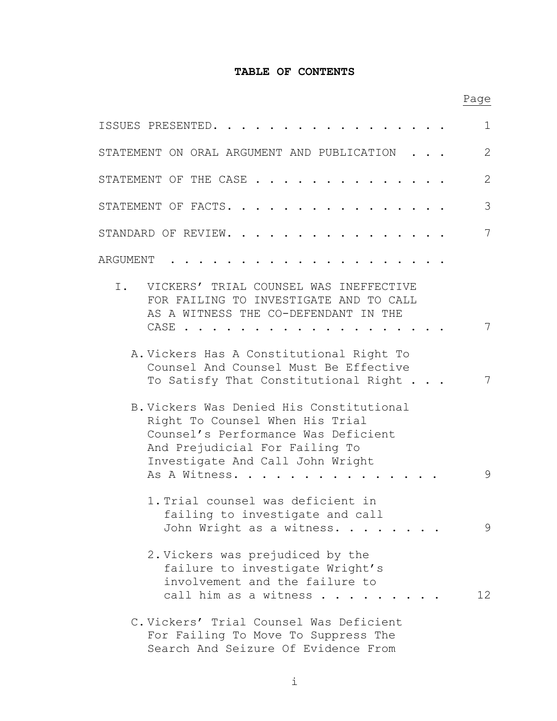# **TABLE OF CONTENTS**

Page

| ISSUES PRESENTED.                                                                                                                                                                                         | $\mathbf 1$       |
|-----------------------------------------------------------------------------------------------------------------------------------------------------------------------------------------------------------|-------------------|
| STATEMENT ON ORAL ARGUMENT AND PUBLICATION                                                                                                                                                                | $\overline{2}$    |
| STATEMENT OF THE CASE                                                                                                                                                                                     | $\overline{2}$    |
| STATEMENT OF FACTS.                                                                                                                                                                                       | 3                 |
| STANDARD OF REVIEW.                                                                                                                                                                                       | 7                 |
| ARGUMENT                                                                                                                                                                                                  |                   |
| I.<br>VICKERS' TRIAL COUNSEL WAS INEFFECTIVE<br>FOR FAILING TO INVESTIGATE AND TO CALL<br>AS A WITNESS THE CO-DEFENDANT IN THE                                                                            |                   |
| CASE                                                                                                                                                                                                      | 7                 |
| A. Vickers Has A Constitutional Right To<br>Counsel And Counsel Must Be Effective<br>To Satisfy That Constitutional Right                                                                                 | 7                 |
| B. Vickers Was Denied His Constitutional<br>Right To Counsel When His Trial<br>Counsel's Performance Was Deficient<br>And Prejudicial For Failing To<br>Investigate And Call John Wright<br>As A Witness. | 9                 |
| 1. Trial counsel was deficient in<br>failing to investigate and call<br>John Wright as a witness.                                                                                                         | 9                 |
| 2. Vickers was prejudiced by the<br>failure to investigate Wright's<br>involvement and the failure to<br>call him as a witness                                                                            | $12 \overline{ }$ |
| C. Vickers' Trial Counsel Was Deficient<br>For Failing To Move To Suppress The<br>Search And Seizure Of Evidence From                                                                                     |                   |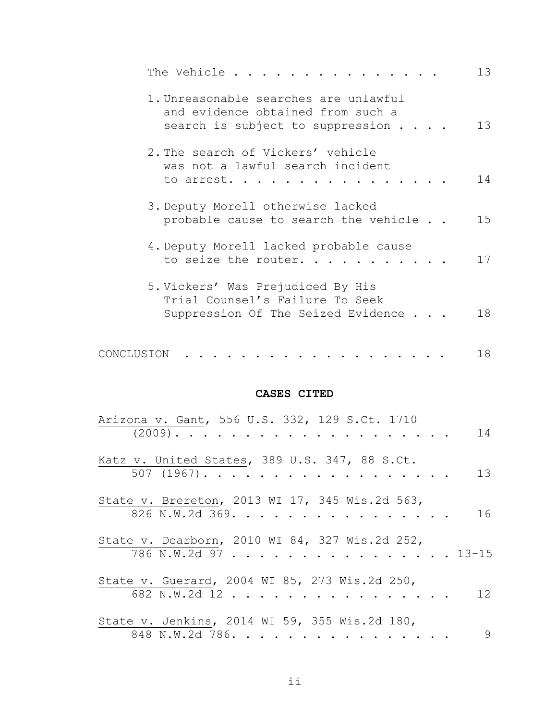|            | The Vehicle                                                                                                    | 13 |
|------------|----------------------------------------------------------------------------------------------------------------|----|
|            | 1. Unreasonable searches are unlawful<br>and evidence obtained from such a<br>search is subject to suppression | 13 |
|            | 2. The search of Vickers' vehicle<br>was not a lawful search incident<br>to arrest.                            | 14 |
|            | 3. Deputy Morell otherwise lacked<br>probable cause to search the vehicle                                      | 15 |
|            | 4. Deputy Morell lacked probable cause<br>to seize the router.                                                 | 17 |
|            | 5. Vickers' Was Prejudiced By His<br>Trial Counsel's Failure To Seek<br>Suppression Of The Seized Evidence     | 18 |
| CONCLUSION |                                                                                                                | 18 |

# **CASES CITED**

| Arizona v. Gant, 556 U.S. 332, 129 S.Ct. 1710                         |  |                 |
|-----------------------------------------------------------------------|--|-----------------|
|                                                                       |  | 14              |
| Katz v. United States, 389 U.S. 347, 88 S.Ct.<br>507 (1967).          |  | 13              |
| State v. Brereton, 2013 WI 17, 345 Wis.2d 563,<br>826 N.W.2d 369.     |  | 16              |
| State v. Dearborn, 2010 WI 84, 327 Wis.2d 252,<br>786 N.W.2d 97 13-15 |  |                 |
| State v. Guerard, 2004 WI 85, 273 Wis.2d 250,<br>682 N.W.2d 12        |  | 12 <sub>1</sub> |
| State v. Jenkins, 2014 WI 59, 355 Wis.2d 180,<br>848 N.W.2d 786.      |  | 9               |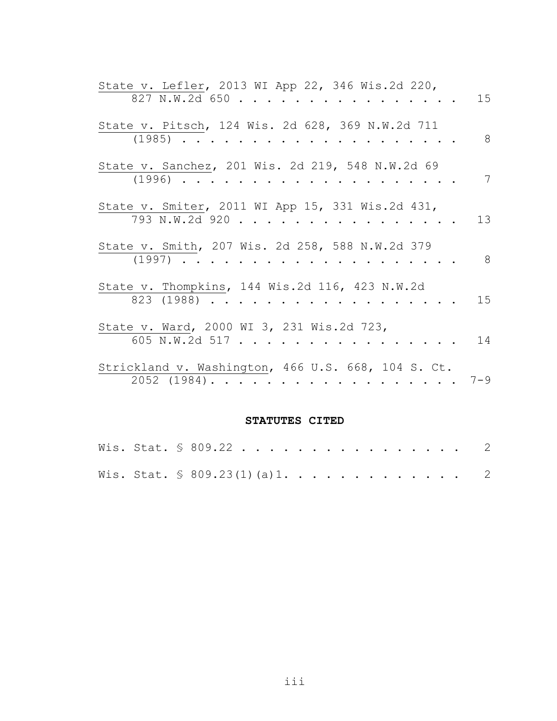| State v. Lefler, 2013 WI App 22, 346 Wis.2d 220,<br>827 N.W.2d 650                                | 15 |
|---------------------------------------------------------------------------------------------------|----|
| State v. Pitsch, 124 Wis. 2d 628, 369 N.W.2d 711<br>$(1985)$                                      | 8  |
| State v. Sanchez, 201 Wis. 2d 219, 548 N.W.2d 69<br>$(1996)$                                      | 7  |
| State v. Smiter, 2011 WI App 15, 331 Wis.2d 431,<br>793 N.W.2d 920<br>$\mathbf{r}$ . $\mathbf{r}$ | 13 |
| State v. Smith, 207 Wis. 2d 258, 588 N.W.2d 379<br>$(1997)$                                       | 8  |
| State v. Thompkins, 144 Wis.2d 116, 423 N.W.2d<br>$823$ (1988)                                    | 15 |
| State v. Ward, 2000 WI 3, 231 Wis.2d 723,<br>605 N.W.2d 517                                       | 14 |
| Strickland v. Washington, 466 U.S. 668, 104 S. Ct.<br>$2052$ (1984). 7-9                          |    |

# **STATUTES CITED**

|  | Wis. Stat. § 809.22 2                     |  |  |  |  |  |  |  |  |
|--|-------------------------------------------|--|--|--|--|--|--|--|--|
|  | Wis. Stat. $\frac{1}{5}$ 809.23(1)(a)1. 2 |  |  |  |  |  |  |  |  |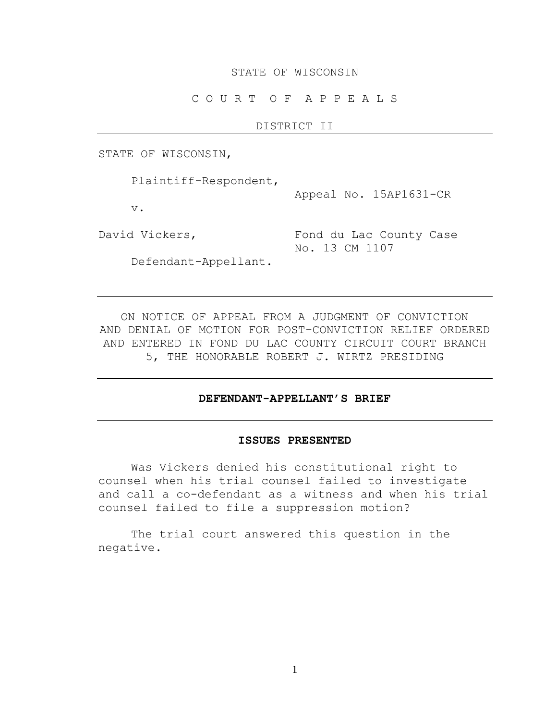# STATE OF WISCONSIN

C O U R T O F A P P E A L S

# DISTRICT II

STATE OF WISCONSIN,

Plaintiff-Respondent,

v.

Appeal No. 15AP1631-CR

David Vickers, Fond du Lac County Case No. 13 CM 1107

Defendant-Appellant.

ON NOTICE OF APPEAL FROM A JUDGMENT OF CONVICTION AND DENIAL OF MOTION FOR POST-CONVICTION RELIEF ORDERED AND ENTERED IN FOND DU LAC COUNTY CIRCUIT COURT BRANCH 5, THE HONORABLE ROBERT J. WIRTZ PRESIDING

#### **DEFENDANT-APPELLANT'S BRIEF**

# **ISSUES PRESENTED**

Was Vickers denied his constitutional right to counsel when his trial counsel failed to investigate and call a co-defendant as a witness and when his trial counsel failed to file a suppression motion?

The trial court answered this question in the negative.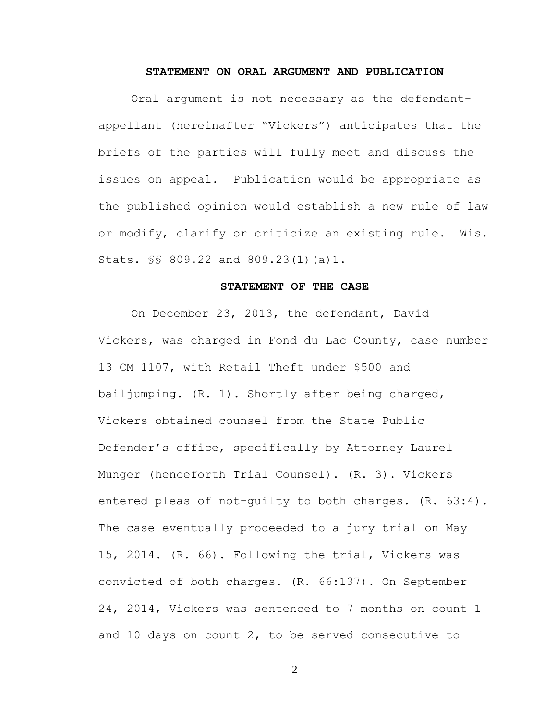# **STATEMENT ON ORAL ARGUMENT AND PUBLICATION**

Oral argument is not necessary as the defendantappellant (hereinafter "Vickers") anticipates that the briefs of the parties will fully meet and discuss the issues on appeal. Publication would be appropriate as the published opinion would establish a new rule of law or modify, clarify or criticize an existing rule. Wis. Stats. §§ 809.22 and 809.23(1)(a)1.

## **STATEMENT OF THE CASE**

On December 23, 2013, the defendant, David Vickers, was charged in Fond du Lac County, case number 13 CM 1107, with Retail Theft under \$500 and bailjumping. (R. 1). Shortly after being charged, Vickers obtained counsel from the State Public Defender's office, specifically by Attorney Laurel Munger (henceforth Trial Counsel). (R. 3). Vickers entered pleas of not-guilty to both charges. (R. 63:4). The case eventually proceeded to a jury trial on May 15, 2014. (R. 66). Following the trial, Vickers was convicted of both charges. (R. 66:137). On September 24, 2014, Vickers was sentenced to 7 months on count 1 and 10 days on count 2, to be served consecutive to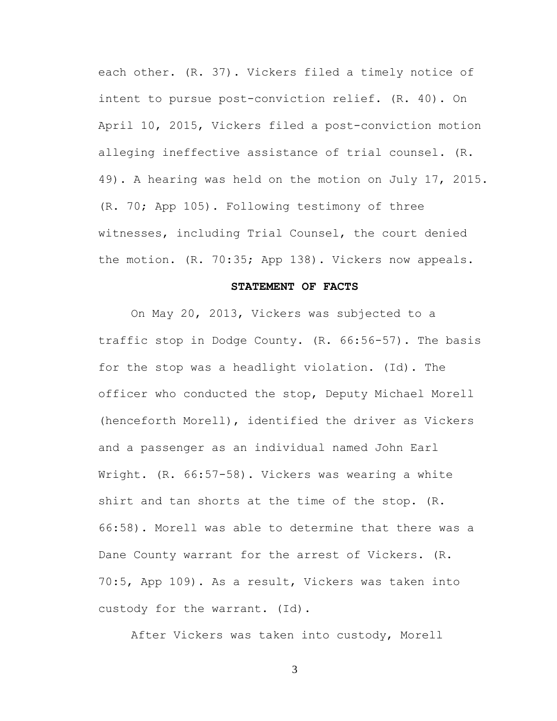each other. (R. 37). Vickers filed a timely notice of intent to pursue post-conviction relief. (R. 40). On April 10, 2015, Vickers filed a post-conviction motion alleging ineffective assistance of trial counsel. (R. 49). A hearing was held on the motion on July 17, 2015. (R. 70; App 105). Following testimony of three witnesses, including Trial Counsel, the court denied the motion. (R. 70:35; App 138). Vickers now appeals.

### **STATEMENT OF FACTS**

On May 20, 2013, Vickers was subjected to a traffic stop in Dodge County. (R. 66:56-57). The basis for the stop was a headlight violation. (Id). The officer who conducted the stop, Deputy Michael Morell (henceforth Morell), identified the driver as Vickers and a passenger as an individual named John Earl Wright. (R. 66:57-58). Vickers was wearing a white shirt and tan shorts at the time of the stop. (R. 66:58). Morell was able to determine that there was a Dane County warrant for the arrest of Vickers. (R. 70:5, App 109). As a result, Vickers was taken into custody for the warrant. (Id).

After Vickers was taken into custody, Morell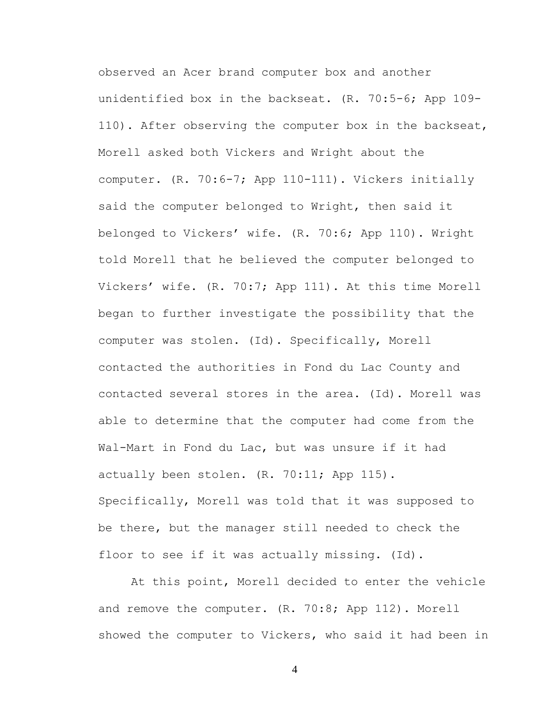observed an Acer brand computer box and another unidentified box in the backseat. (R. 70:5-6; App 109- 110). After observing the computer box in the backseat, Morell asked both Vickers and Wright about the computer. (R. 70:6-7; App 110-111). Vickers initially said the computer belonged to Wright, then said it belonged to Vickers' wife. (R. 70:6; App 110). Wright told Morell that he believed the computer belonged to Vickers' wife. (R. 70:7; App 111). At this time Morell began to further investigate the possibility that the computer was stolen. (Id). Specifically, Morell contacted the authorities in Fond du Lac County and contacted several stores in the area. (Id). Morell was able to determine that the computer had come from the Wal-Mart in Fond du Lac, but was unsure if it had actually been stolen. (R. 70:11; App 115). Specifically, Morell was told that it was supposed to be there, but the manager still needed to check the floor to see if it was actually missing. (Id).

At this point, Morell decided to enter the vehicle and remove the computer. (R. 70:8; App 112). Morell showed the computer to Vickers, who said it had been in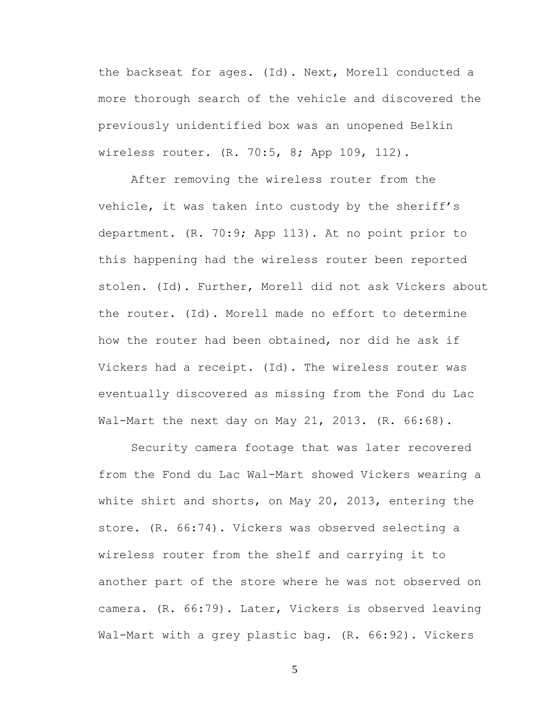the backseat for ages. (Id). Next, Morell conducted a more thorough search of the vehicle and discovered the previously unidentified box was an unopened Belkin wireless router. (R. 70:5, 8; App 109, 112).

After removing the wireless router from the vehicle, it was taken into custody by the sheriff's department. (R. 70:9; App 113). At no point prior to this happening had the wireless router been reported stolen. (Id). Further, Morell did not ask Vickers about the router. (Id). Morell made no effort to determine how the router had been obtained, nor did he ask if Vickers had a receipt. (Id). The wireless router was eventually discovered as missing from the Fond du Lac Wal-Mart the next day on May 21, 2013. (R. 66:68).

Security camera footage that was later recovered from the Fond du Lac Wal-Mart showed Vickers wearing a white shirt and shorts, on May 20, 2013, entering the store. (R. 66:74). Vickers was observed selecting a wireless router from the shelf and carrying it to another part of the store where he was not observed on camera. (R. 66:79). Later, Vickers is observed leaving Wal-Mart with a grey plastic bag. (R. 66:92). Vickers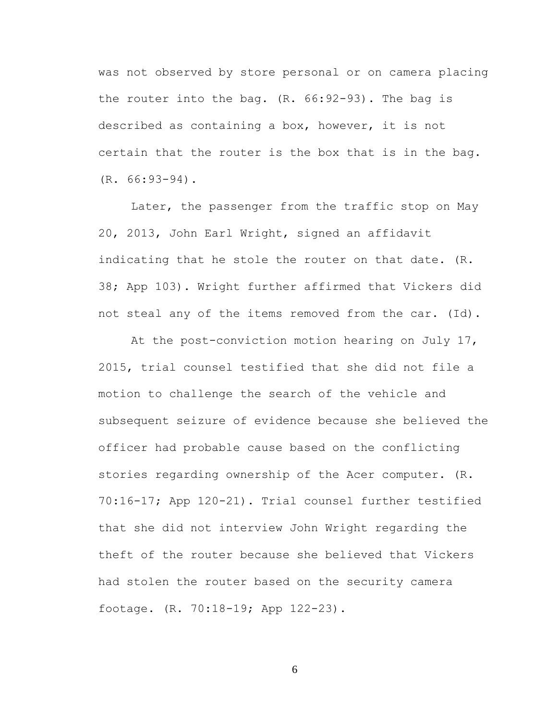was not observed by store personal or on camera placing the router into the bag. (R. 66:92-93). The bag is described as containing a box, however, it is not certain that the router is the box that is in the bag. (R. 66:93-94).

Later, the passenger from the traffic stop on May 20, 2013, John Earl Wright, signed an affidavit indicating that he stole the router on that date. (R. 38; App 103). Wright further affirmed that Vickers did not steal any of the items removed from the car. (Id).

At the post-conviction motion hearing on July 17, 2015, trial counsel testified that she did not file a motion to challenge the search of the vehicle and subsequent seizure of evidence because she believed the officer had probable cause based on the conflicting stories regarding ownership of the Acer computer. (R. 70:16-17; App 120-21). Trial counsel further testified that she did not interview John Wright regarding the theft of the router because she believed that Vickers had stolen the router based on the security camera footage. (R. 70:18-19; App 122-23).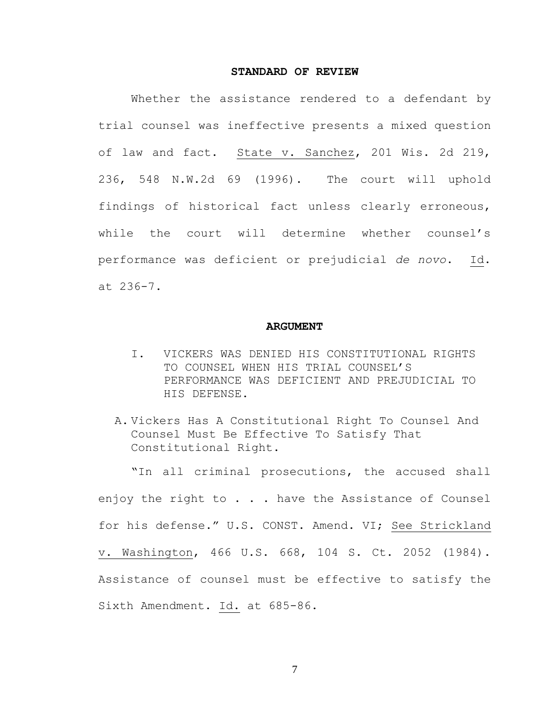# **STANDARD OF REVIEW**

Whether the assistance rendered to a defendant by trial counsel was ineffective presents a mixed question of law and fact. State v. Sanchez, 201 Wis. 2d 219, 236, 548 N.W.2d 69 (1996). The court will uphold findings of historical fact unless clearly erroneous, while the court will determine whether counsel's performance was deficient or prejudicial *de novo*. Id. at 236-7.

#### **ARGUMENT**

- I. VICKERS WAS DENIED HIS CONSTITUTIONAL RIGHTS TO COUNSEL WHEN HIS TRIAL COUNSEL'S PERFORMANCE WAS DEFICIENT AND PREJUDICIAL TO HIS DEFENSE.
- A. Vickers Has A Constitutional Right To Counsel And Counsel Must Be Effective To Satisfy That Constitutional Right.

"In all criminal prosecutions, the accused shall enjoy the right to . . . have the Assistance of Counsel for his defense." U.S. CONST. Amend. VI; See Strickland v. Washington, 466 U.S. 668, 104 S. Ct. 2052 (1984). Assistance of counsel must be effective to satisfy the Sixth Amendment. Id. at 685-86.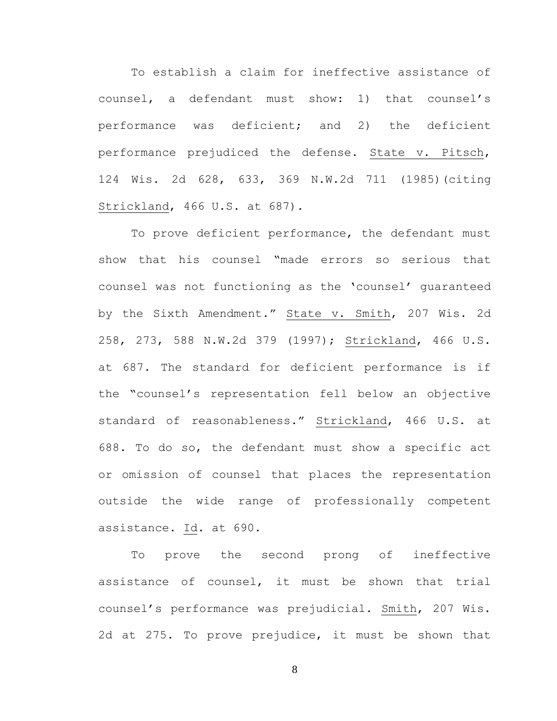To establish a claim for ineffective assistance of counsel, a defendant must show: 1) that counsel's performance was deficient; and 2) the deficient performance prejudiced the defense. State v. Pitsch, 124 Wis. 2d 628, 633, 369 N.W.2d 711 (1985)(citing Strickland, 466 U.S. at 687).

To prove deficient performance, the defendant must show that his counsel "made errors so serious that counsel was not functioning as the 'counsel' guaranteed by the Sixth Amendment." State v. Smith, 207 Wis. 2d 258, 273, 588 N.W.2d 379 (1997); Strickland, 466 U.S. at 687. The standard for deficient performance is if the "counsel's representation fell below an objective standard of reasonableness." Strickland, 466 U.S. at 688. To do so, the defendant must show a specific act or omission of counsel that places the representation outside the wide range of professionally competent assistance. Id. at 690.

To prove the second prong of ineffective assistance of counsel, it must be shown that trial counsel's performance was prejudicial. Smith, 207 Wis. 2d at 275. To prove prejudice, it must be shown that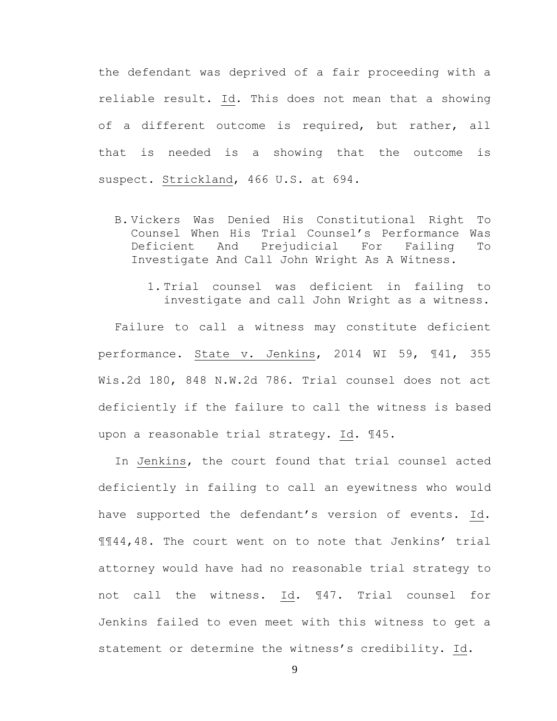the defendant was deprived of a fair proceeding with a reliable result. Id. This does not mean that a showing of a different outcome is required, but rather, all that is needed is a showing that the outcome is suspect. Strickland, 466 U.S. at 694.

- B. Vickers Was Denied His Constitutional Right To Counsel When His Trial Counsel's Performance Was Deficient And Prejudicial For Failing To Investigate And Call John Wright As A Witness.
	- 1. Trial counsel was deficient in failing to investigate and call John Wright as a witness.

Failure to call a witness may constitute deficient performance. State v. Jenkins, 2014 WI 59, ¶41, 355 Wis.2d 180, 848 N.W.2d 786. Trial counsel does not act deficiently if the failure to call the witness is based upon a reasonable trial strategy. Id. ¶45.

In Jenkins, the court found that trial counsel acted deficiently in failing to call an eyewitness who would have supported the defendant's version of events. Id. ¶¶44,48. The court went on to note that Jenkins' trial attorney would have had no reasonable trial strategy to not call the witness. Id. ¶47. Trial counsel for Jenkins failed to even meet with this witness to get a statement or determine the witness's credibility. Id.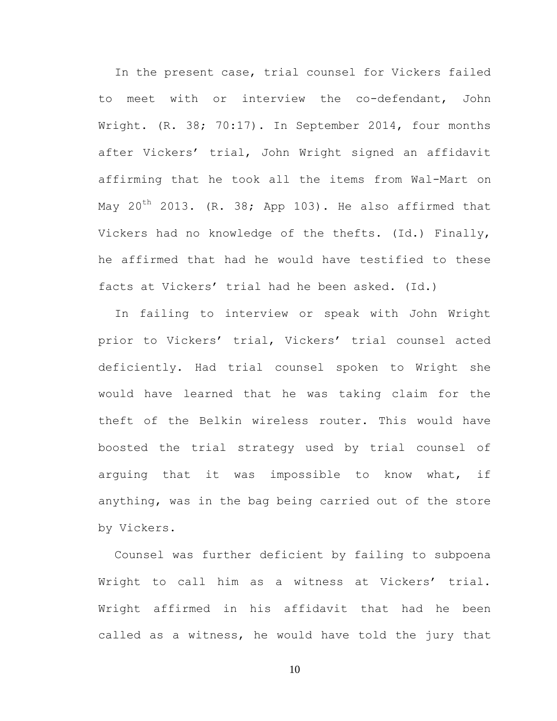In the present case, trial counsel for Vickers failed to meet with or interview the co-defendant, John Wright. (R. 38; 70:17). In September 2014, four months after Vickers' trial, John Wright signed an affidavit affirming that he took all the items from Wal-Mart on May 20<sup>th</sup> 2013. (R. 38; App 103). He also affirmed that Vickers had no knowledge of the thefts. (Id.) Finally, he affirmed that had he would have testified to these facts at Vickers' trial had he been asked. (Id.)

In failing to interview or speak with John Wright prior to Vickers' trial, Vickers' trial counsel acted deficiently. Had trial counsel spoken to Wright she would have learned that he was taking claim for the theft of the Belkin wireless router. This would have boosted the trial strategy used by trial counsel of arguing that it was impossible to know what, if anything, was in the bag being carried out of the store by Vickers.

Counsel was further deficient by failing to subpoena Wright to call him as a witness at Vickers' trial. Wright affirmed in his affidavit that had he been called as a witness, he would have told the jury that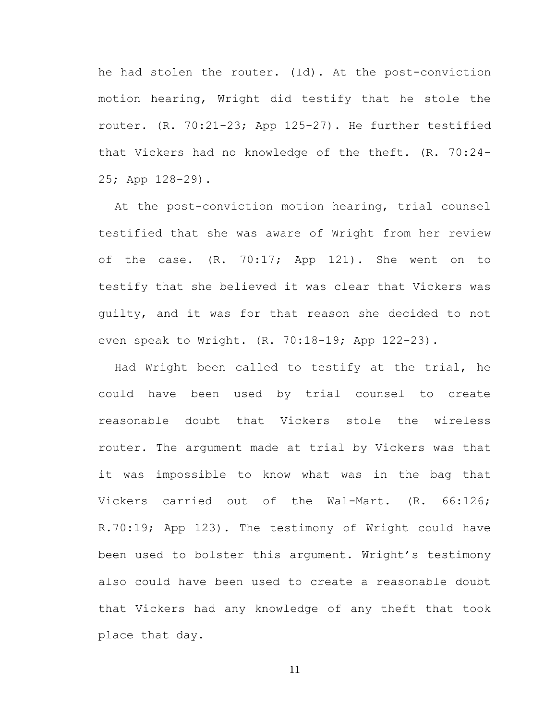he had stolen the router. (Id). At the post-conviction motion hearing, Wright did testify that he stole the router. (R. 70:21-23; App 125-27). He further testified that Vickers had no knowledge of the theft. (R. 70:24- 25; App 128-29).

At the post-conviction motion hearing, trial counsel testified that she was aware of Wright from her review of the case. (R. 70:17; App 121). She went on to testify that she believed it was clear that Vickers was guilty, and it was for that reason she decided to not even speak to Wright. (R. 70:18-19; App 122-23).

Had Wright been called to testify at the trial, he could have been used by trial counsel to create reasonable doubt that Vickers stole the wireless router. The argument made at trial by Vickers was that it was impossible to know what was in the bag that Vickers carried out of the Wal-Mart. (R. 66:126; R.70:19; App 123). The testimony of Wright could have been used to bolster this argument. Wright's testimony also could have been used to create a reasonable doubt that Vickers had any knowledge of any theft that took place that day.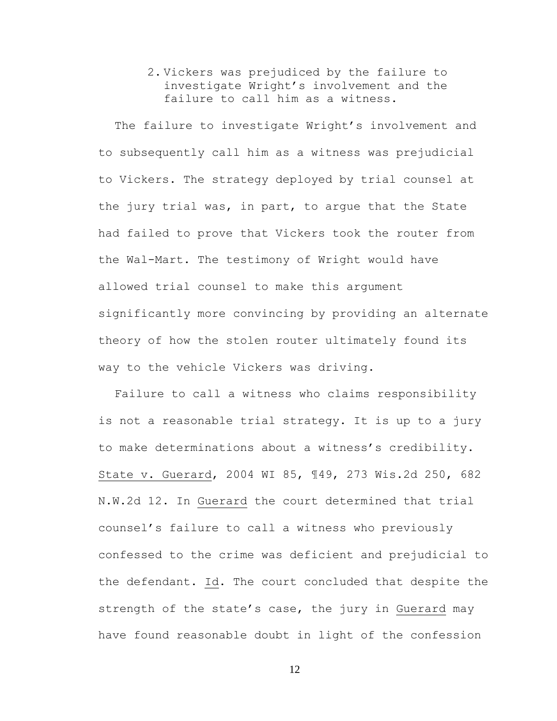2. Vickers was prejudiced by the failure to investigate Wright's involvement and the failure to call him as a witness.

The failure to investigate Wright's involvement and to subsequently call him as a witness was prejudicial to Vickers. The strategy deployed by trial counsel at the jury trial was, in part, to argue that the State had failed to prove that Vickers took the router from the Wal-Mart. The testimony of Wright would have allowed trial counsel to make this argument significantly more convincing by providing an alternate theory of how the stolen router ultimately found its way to the vehicle Vickers was driving.

Failure to call a witness who claims responsibility is not a reasonable trial strategy. It is up to a jury to make determinations about a witness's credibility. State v. Guerard, 2004 WI 85, ¶49, 273 Wis.2d 250, 682 N.W.2d 12. In Guerard the court determined that trial counsel's failure to call a witness who previously confessed to the crime was deficient and prejudicial to the defendant. Id. The court concluded that despite the strength of the state's case, the jury in Guerard may have found reasonable doubt in light of the confession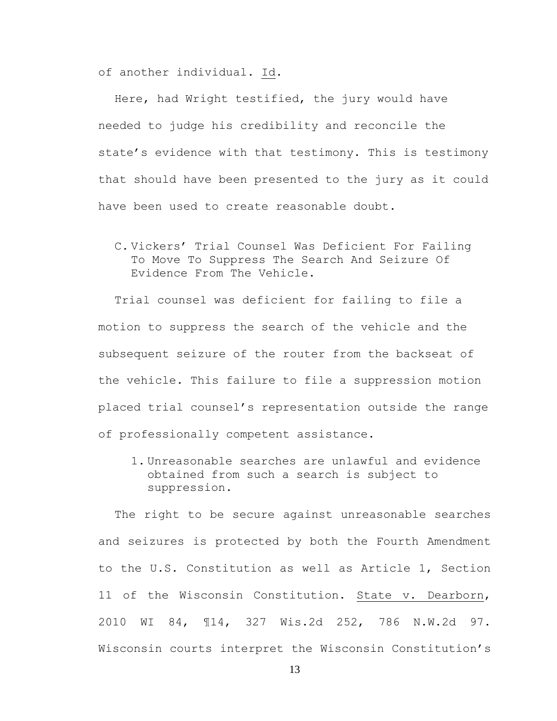of another individual. Id.

Here, had Wright testified, the jury would have needed to judge his credibility and reconcile the state's evidence with that testimony. This is testimony that should have been presented to the jury as it could have been used to create reasonable doubt.

C. Vickers' Trial Counsel Was Deficient For Failing To Move To Suppress The Search And Seizure Of Evidence From The Vehicle.

Trial counsel was deficient for failing to file a motion to suppress the search of the vehicle and the subsequent seizure of the router from the backseat of the vehicle. This failure to file a suppression motion placed trial counsel's representation outside the range of professionally competent assistance.

1. Unreasonable searches are unlawful and evidence obtained from such a search is subject to suppression.

The right to be secure against unreasonable searches and seizures is protected by both the Fourth Amendment to the U.S. Constitution as well as Article 1, Section 11 of the Wisconsin Constitution. State v. Dearborn, 2010 WI 84, ¶14, 327 Wis.2d 252, 786 N.W.2d 97. Wisconsin courts interpret the Wisconsin Constitution's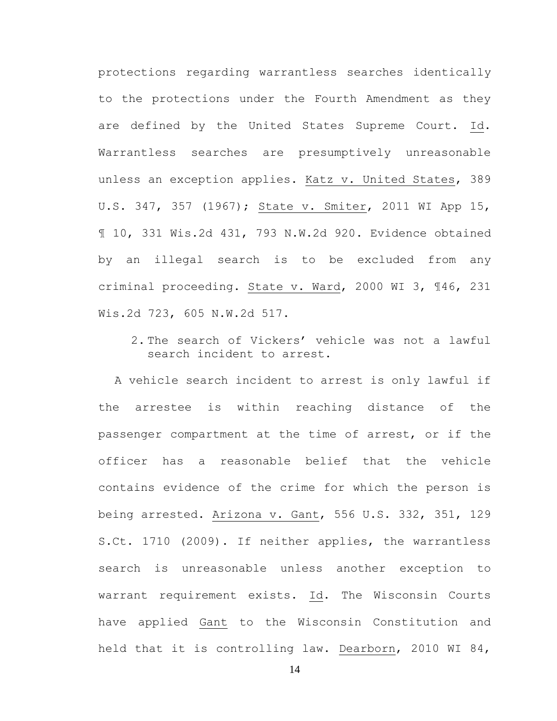protections regarding warrantless searches identically to the protections under the Fourth Amendment as they are defined by the United States Supreme Court. Id. Warrantless searches are presumptively unreasonable unless an exception applies. Katz v. United States, 389 U.S. 347, 357 (1967); State v. Smiter, 2011 WI App 15, ¶ 10, 331 Wis.2d 431, 793 N.W.2d 920. Evidence obtained by an illegal search is to be excluded from any criminal proceeding. State v. Ward, 2000 WI 3, ¶46, 231 Wis.2d 723, 605 N.W.2d 517.

2. The search of Vickers' vehicle was not a lawful search incident to arrest.

A vehicle search incident to arrest is only lawful if the arrestee is within reaching distance of the passenger compartment at the time of arrest, or if the officer has a reasonable belief that the vehicle contains evidence of the crime for which the person is being arrested. Arizona v. Gant, 556 U.S. 332, 351, 129 S.Ct. 1710 (2009). If neither applies, the warrantless search is unreasonable unless another exception to warrant requirement exists. Id. The Wisconsin Courts have applied Gant to the Wisconsin Constitution and held that it is controlling law. Dearborn, 2010 WI 84,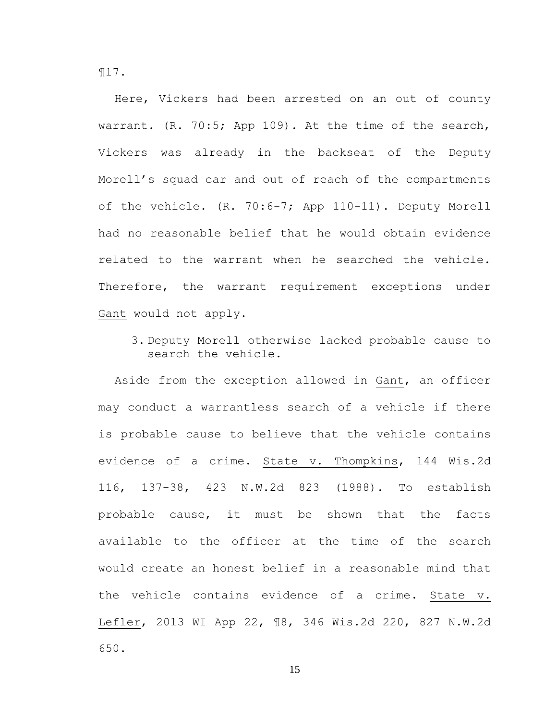¶17.

Here, Vickers had been arrested on an out of county warrant. (R. 70:5; App 109). At the time of the search, Vickers was already in the backseat of the Deputy Morell's squad car and out of reach of the compartments of the vehicle. (R. 70:6-7; App 110-11). Deputy Morell had no reasonable belief that he would obtain evidence related to the warrant when he searched the vehicle. Therefore, the warrant requirement exceptions under Gant would not apply.

3. Deputy Morell otherwise lacked probable cause to search the vehicle.

Aside from the exception allowed in Gant, an officer may conduct a warrantless search of a vehicle if there is probable cause to believe that the vehicle contains evidence of a crime. State v. Thompkins, 144 Wis.2d 116, 137-38, 423 N.W.2d 823 (1988). To establish probable cause, it must be shown that the facts available to the officer at the time of the search would create an honest belief in a reasonable mind that the vehicle contains evidence of a crime. State v. Lefler, 2013 WI App 22, ¶8, 346 Wis.2d 220, 827 N.W.2d 650.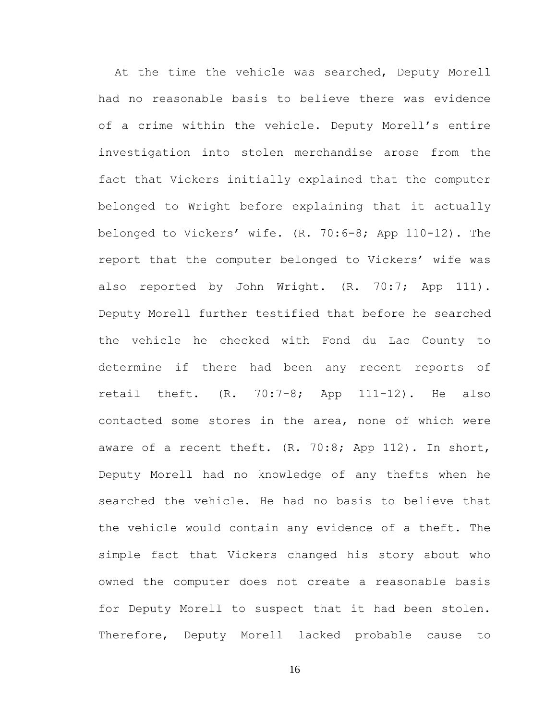At the time the vehicle was searched, Deputy Morell had no reasonable basis to believe there was evidence of a crime within the vehicle. Deputy Morell's entire investigation into stolen merchandise arose from the fact that Vickers initially explained that the computer belonged to Wright before explaining that it actually belonged to Vickers' wife. (R. 70:6-8; App 110-12). The report that the computer belonged to Vickers' wife was also reported by John Wright. (R. 70:7; App 111). Deputy Morell further testified that before he searched the vehicle he checked with Fond du Lac County to determine if there had been any recent reports of retail theft. (R. 70:7-8; App 111-12). He also contacted some stores in the area, none of which were aware of a recent theft. (R. 70:8; App 112). In short, Deputy Morell had no knowledge of any thefts when he searched the vehicle. He had no basis to believe that the vehicle would contain any evidence of a theft. The simple fact that Vickers changed his story about who owned the computer does not create a reasonable basis for Deputy Morell to suspect that it had been stolen. Therefore, Deputy Morell lacked probable cause to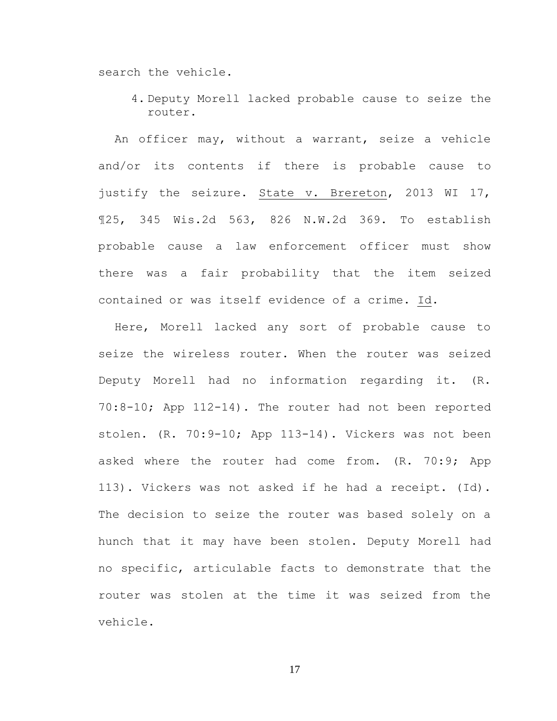search the vehicle.

4. Deputy Morell lacked probable cause to seize the router.

An officer may, without a warrant, seize a vehicle and/or its contents if there is probable cause to justify the seizure. State v. Brereton, 2013 WI 17, ¶25, 345 Wis.2d 563, 826 N.W.2d 369. To establish probable cause a law enforcement officer must show there was a fair probability that the item seized contained or was itself evidence of a crime. Id.

Here, Morell lacked any sort of probable cause to seize the wireless router. When the router was seized Deputy Morell had no information regarding it. (R. 70:8-10; App 112-14). The router had not been reported stolen. (R. 70:9-10; App 113-14). Vickers was not been asked where the router had come from. (R. 70:9; App 113). Vickers was not asked if he had a receipt. (Id). The decision to seize the router was based solely on a hunch that it may have been stolen. Deputy Morell had no specific, articulable facts to demonstrate that the router was stolen at the time it was seized from the vehicle.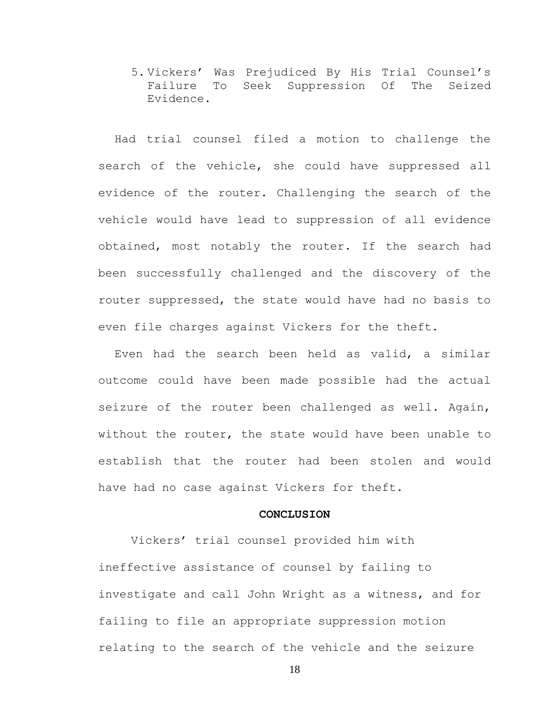5. Vickers' Was Prejudiced By His Trial Counsel's Failure To Seek Suppression Of The Seized Evidence.

Had trial counsel filed a motion to challenge the search of the vehicle, she could have suppressed all evidence of the router. Challenging the search of the vehicle would have lead to suppression of all evidence obtained, most notably the router. If the search had been successfully challenged and the discovery of the router suppressed, the state would have had no basis to even file charges against Vickers for the theft.

Even had the search been held as valid, a similar outcome could have been made possible had the actual seizure of the router been challenged as well. Again, without the router, the state would have been unable to establish that the router had been stolen and would have had no case against Vickers for theft.

## **CONCLUSION**

Vickers' trial counsel provided him with ineffective assistance of counsel by failing to investigate and call John Wright as a witness, and for failing to file an appropriate suppression motion relating to the search of the vehicle and the seizure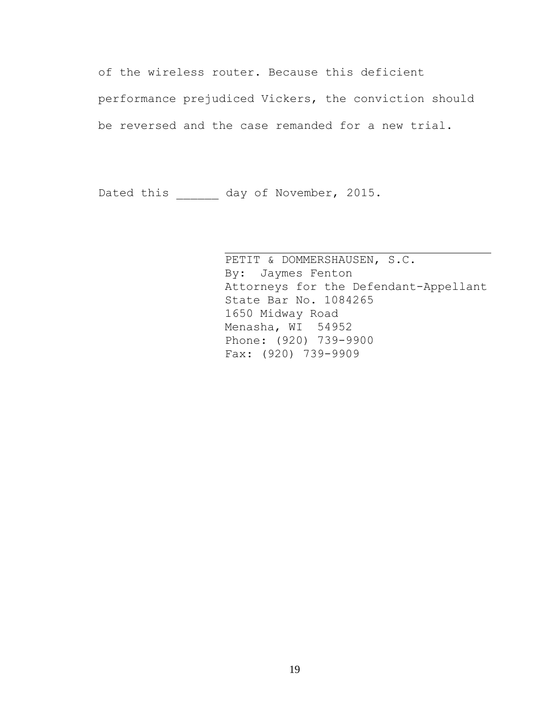of the wireless router. Because this deficient performance prejudiced Vickers, the conviction should be reversed and the case remanded for a new trial.

Dated this \_\_\_\_\_\_ day of November, 2015.

 PETIT & DOMMERSHAUSEN, S.C. By: Jaymes Fenton Attorneys for the Defendant-Appellant State Bar No. 1084265 1650 Midway Road Menasha, WI 54952 Phone: (920) 739-9900 Fax: (920) 739-9909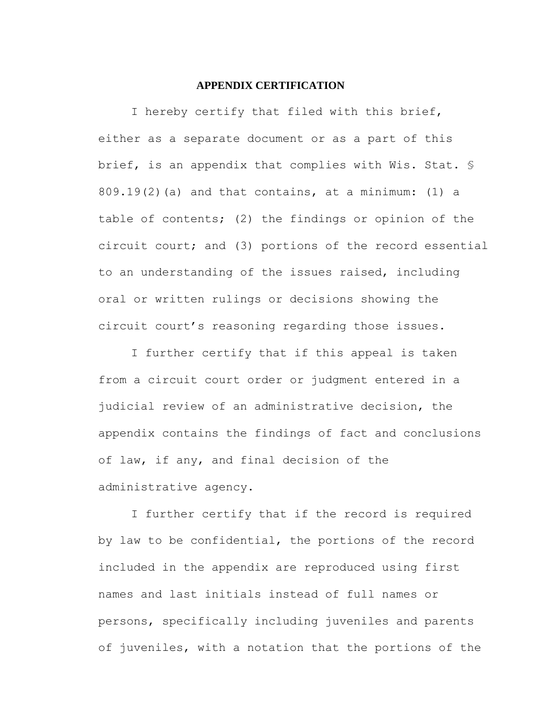# **APPENDIX CERTIFICATION**

I hereby certify that filed with this brief, either as a separate document or as a part of this brief, is an appendix that complies with Wis. Stat. §  $809.19(2)$  (a) and that contains, at a minimum: (1) a table of contents; (2) the findings or opinion of the circuit court; and (3) portions of the record essential to an understanding of the issues raised, including oral or written rulings or decisions showing the circuit court's reasoning regarding those issues.

I further certify that if this appeal is taken from a circuit court order or judgment entered in a judicial review of an administrative decision, the appendix contains the findings of fact and conclusions of law, if any, and final decision of the administrative agency.

I further certify that if the record is required by law to be confidential, the portions of the record included in the appendix are reproduced using first names and last initials instead of full names or persons, specifically including juveniles and parents of juveniles, with a notation that the portions of the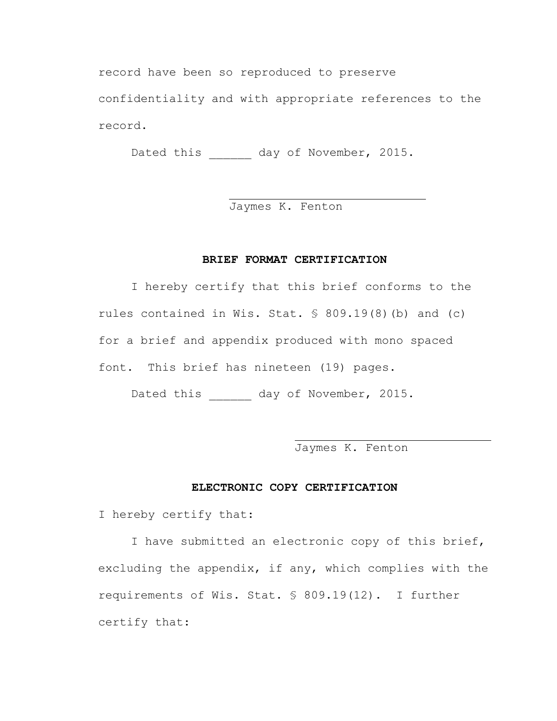record have been so reproduced to preserve

confidentiality and with appropriate references to the record.

Dated this \_\_\_\_\_\_ day of November, 2015.

Jaymes K. Fenton

# **BRIEF FORMAT CERTIFICATION**

I hereby certify that this brief conforms to the rules contained in Wis. Stat. § 809.19(8)(b) and (c) for a brief and appendix produced with mono spaced font. This brief has nineteen (19) pages.

Dated this day of November, 2015.

Jaymes K. Fenton

# **ELECTRONIC COPY CERTIFICATION**

I hereby certify that:

I have submitted an electronic copy of this brief, excluding the appendix, if any, which complies with the requirements of Wis. Stat. § 809.19(12). I further certify that: